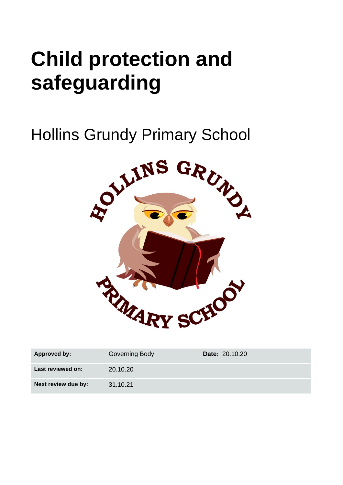# **Child protection and safeguarding**



| <b>Approved by:</b> | Governing Body | <b>Date: 20.10.20</b> |
|---------------------|----------------|-----------------------|
| Last reviewed on:   | 20.10.20       |                       |
| Next review due by: | 31.10.21       |                       |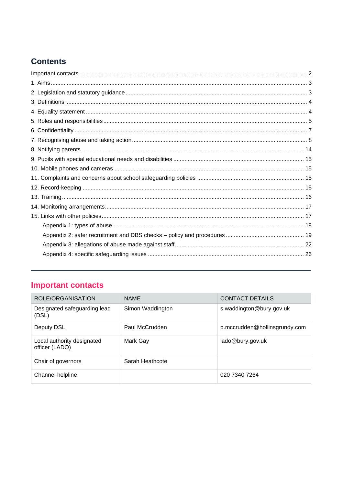# **Contents**

# <span id="page-1-0"></span>**Important contacts**

| ROLE/ORGANISATION                            | <b>NAME</b>      | <b>CONTACT DETAILS</b>        |
|----------------------------------------------|------------------|-------------------------------|
| Designated safeguarding lead<br>(DSL)        | Simon Waddington | s.waddington@bury.gov.uk      |
| Deputy DSL                                   | Paul McCrudden   | p.mccrudden@hollinsgrundy.com |
| Local authority designated<br>officer (LADO) | Mark Gay         | lado@bury.gov.uk              |
| Chair of governors                           | Sarah Heathcote  |                               |
| Channel helpline                             |                  | 020 7340 7264                 |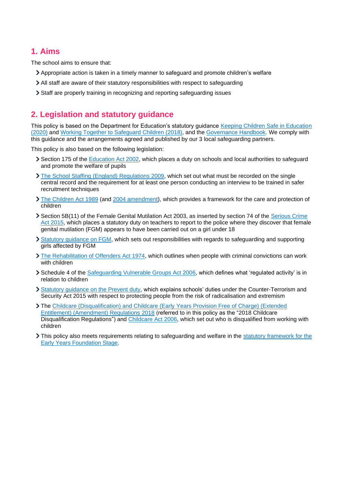# <span id="page-2-0"></span>**1. Aims**

The school aims to ensure that:

- Appropriate action is taken in a timely manner to safeguard and promote children's welfare
- All staff are aware of their statutory responsibilities with respect to safeguarding
- Staff are properly training in recognizing and reporting safeguarding issues

# <span id="page-2-1"></span>**2. Legislation and statutory guidance**

This policy is based on the Department for Education's statutory guidance [Keeping Children Safe in Education](https://www.gov.uk/government/publications/keeping-children-safe-in-education--2)  [\(2020\)](https://www.gov.uk/government/publications/keeping-children-safe-in-education--2) and [Working Together to Safeguard Children \(2018\),](https://www.gov.uk/government/publications/working-together-to-safeguard-children--2) and the [Governance Handbook.](https://www.gov.uk/government/publications/governance-handbook) We comply with this guidance and the arrangements agreed and published by our 3 local safeguarding partners.

This policy is also based on the following legislation:

- Section 175 of the [Education Act 2002,](http://www.legislation.gov.uk/ukpga/2002/32/section/175) which places a duty on schools and local authorities to safeguard and promote the welfare of pupils
- [The School Staffing \(England\) Regulations 2009,](http://www.legislation.gov.uk/uksi/2009/2680/contents/made) which set out what must be recorded on the single central record and the requirement for at least one person conducting an interview to be trained in safer recruitment techniques
- [The Children Act 1989](http://www.legislation.gov.uk/ukpga/1989/41) (and [2004 amendment\)](http://www.legislation.gov.uk/ukpga/2004/31/contents), which provides a framework for the care and protection of children
- Section 5B(11) of the Female Genital Mutilation Act 2003, as inserted by section 74 of the Serious Crime [Act 2015,](http://www.legislation.gov.uk/ukpga/2015/9/part/5/crossheading/female-genital-mutilation) which places a statutory duty on teachers to report to the police where they discover that female genital mutilation (FGM) appears to have been carried out on a girl under 18
- [Statutory guidance on FGM,](https://www.gov.uk/government/publications/multi-agency-statutory-guidance-on-female-genital-mutilation) which sets out responsibilities with regards to safeguarding and supporting girls affected by FGM
- [The Rehabilitation of Offenders Act 1974,](http://www.legislation.gov.uk/ukpga/1974/53) which outlines when people with criminal convictions can work with children
- Schedule 4 of the [Safeguarding Vulnerable Groups Act 2006,](http://www.legislation.gov.uk/ukpga/2006/47/schedule/4) which defines what 'regulated activity' is in relation to children
- [Statutory guidance on the Prevent duty,](https://www.gov.uk/government/publications/prevent-duty-guidance) which explains schools' duties under the Counter-Terrorism and Security Act 2015 with respect to protecting people from the risk of radicalisation and extremism
- The [Childcare \(Disqualification\) and Childcare \(Early Years Provision Free of Charge\) \(Extended](http://www.legislation.gov.uk/uksi/2018/794/contents/made)  [Entitlement\) \(Amendment\) Regulations 2018](http://www.legislation.gov.uk/uksi/2018/794/contents/made) (referred to in this policy as the "2018 Childcare Disqualification Regulations") and [Childcare Act 2006,](http://www.legislation.gov.uk/ukpga/2006/21/contents) which set out who is disqualified from working with children
- <span id="page-2-2"></span>This policy also meets requirements relating to safeguarding and welfare in the statutory [framework for the](https://www.gov.uk/government/publications/early-years-foundation-stage-framework--2)  [Early Years Foundation Stage.](https://www.gov.uk/government/publications/early-years-foundation-stage-framework--2)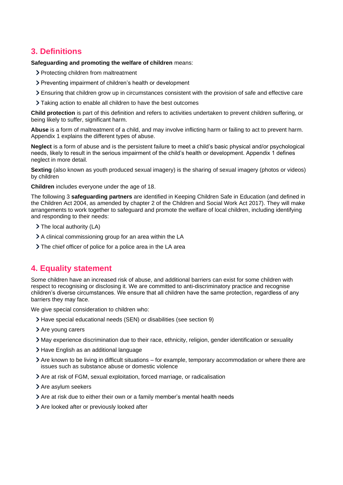# **3. Definitions**

#### **Safeguarding and promoting the welfare of children** means:

- > Protecting children from maltreatment
- Preventing impairment of children's health or development
- Ensuring that children grow up in circumstances consistent with the provision of safe and effective care
- > Taking action to enable all children to have the best outcomes

**Child protection** is part of this definition and refers to activities undertaken to prevent children suffering, or being likely to suffer, significant harm.

**Abuse** is a form of maltreatment of a child, and may involve inflicting harm or failing to act to prevent harm. Appendix 1 explains the different types of abuse.

**Neglect** is a form of abuse and is the persistent failure to meet a child's basic physical and/or psychological needs, likely to result in the serious impairment of the child's health or development. Appendix 1 defines neglect in more detail.

**Sexting** (also known as youth produced sexual imagery) is the sharing of sexual imagery (photos or videos) by children

**Children** includes everyone under the age of 18.

The following 3 **safeguarding partners** are identified in Keeping Children Safe in Education (and defined in the Children Act 2004, as amended by chapter 2 of the Children and Social Work Act 2017). They will make arrangements to work together to safeguard and promote the welfare of local children, including identifying and responding to their needs:

- > The local authority (LA)
- A clinical commissioning group for an area within the LA
- The chief officer of police for a police area in the LA area

# <span id="page-3-0"></span>**4. Equality statement**

Some children have an increased risk of abuse, and additional barriers can exist for some children with respect to recognising or disclosing it. We are committed to anti-discriminatory practice and recognise children's diverse circumstances. We ensure that all children have the same protection, regardless of any barriers they may face.

We give special consideration to children who:

- Have special educational needs (SEN) or disabilities (see section 9)
- > Are young carers
- May experience discrimination due to their race, ethnicity, religion, gender identification or sexuality
- > Have English as an additional language
- $\geq$  Are known to be living in difficult situations for example, temporary accommodation or where there are issues such as substance abuse or domestic violence
- Are at risk of FGM, sexual exploitation, forced marriage, or radicalisation
- > Are asylum seekers
- Are at risk due to either their own or a family member's mental health needs
- <span id="page-3-1"></span>> Are looked after or previously looked after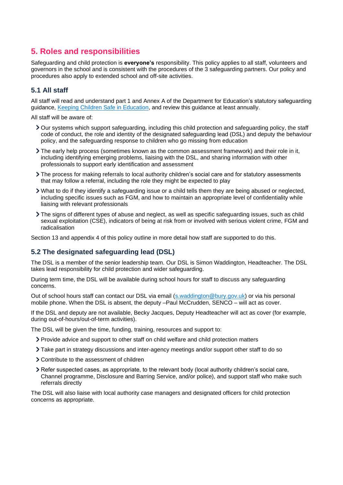# **5. Roles and responsibilities**

Safeguarding and child protection is **everyone's** responsibility. This policy applies to all staff, volunteers and governors in the school and is consistent with the procedures of the 3 safeguarding partners. Our policy and procedures also apply to extended school and off-site activities.

# **5.1 All staff**

All staff will read and understand part 1 and Annex A of the Department for Education's statutory safeguarding guidance, [Keeping Children Safe in Education,](https://www.gov.uk/government/publications/keeping-children-safe-in-education--2) and review this guidance at least annually.

All staff will be aware of:

- Our systems which support safeguarding, including this child protection and safeguarding policy, the staff code of conduct, the role and identity of the designated safeguarding lead (DSL) and deputy the behaviour policy, and the safeguarding response to children who go missing from education
- The early help process (sometimes known as the common assessment framework) and their role in it, including identifying emerging problems, liaising with the DSL, and sharing information with other professionals to support early identification and assessment
- The process for making referrals to local authority children's social care and for statutory assessments that may follow a referral, including the role they might be expected to play
- What to do if they identify a safeguarding issue or a child tells them they are being abused or neglected, including specific issues such as FGM, and how to maintain an appropriate level of confidentiality while liaising with relevant professionals
- The signs of different types of abuse and neglect, as well as specific safeguarding issues, such as child sexual exploitation (CSE), indicators of being at risk from or involved with serious violent crime, FGM and radicalisation

Section 13 and appendix 4 of this policy outline in more detail how staff are supported to do this.

# **5.2 The designated safeguarding lead (DSL)**

The DSL is a member of the senior leadership team. Our DSL is Simon Waddington, Headteacher. The DSL takes lead responsibility for child protection and wider safeguarding.

During term time, the DSL will be available during school hours for staff to discuss any safeguarding concerns.

Out of school hours staff can contact our DSL via email [\(s.waddington@bury.gov.uk\)](mailto:s.waddington@bury.gov.uk) or via his personal mobile phone. When the DSL is absent, the deputy –Paul McCrudden, SENCO – will act as cover.

If the DSL and deputy are not available, Becky Jacques, Deputy Headteacher will act as cover (for example, during out-of-hours/out-of-term activities).

The DSL will be given the time, funding, training, resources and support to:

- Provide advice and support to other staff on child welfare and child protection matters
- Take part in strategy discussions and inter-agency meetings and/or support other staff to do so
- Contribute to the assessment of children
- Refer suspected cases, as appropriate, to the relevant body (local authority children's social care, Channel programme, Disclosure and Barring Service, and/or police), and support staff who make such referrals directly

The DSL will also liaise with local authority case managers and designated officers for child protection concerns as appropriate.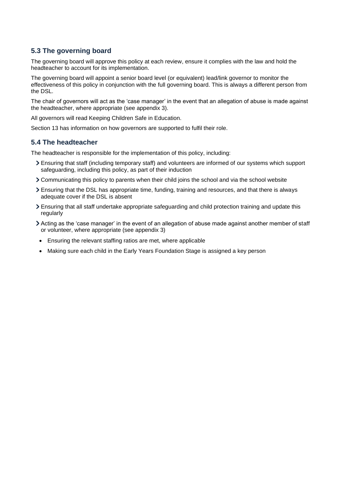# **5.3 The governing board**

The governing board will approve this policy at each review, ensure it complies with the law and hold the headteacher to account for its implementation.

The governing board will appoint a senior board level (or equivalent) lead/link governor to monitor the effectiveness of this policy in conjunction with the full governing board. This is always a different person from the DSL.

The chair of governors will act as the 'case manager' in the event that an allegation of abuse is made against the headteacher, where appropriate (see appendix 3).

All governors will read Keeping Children Safe in Education.

Section 13 has information on how governors are supported to fulfil their role.

# **5.4 The headteacher**

The headteacher is responsible for the implementation of this policy, including:

- Ensuring that staff (including temporary staff) and volunteers are informed of our systems which support safeguarding, including this policy, as part of their induction
- Communicating this policy to parents when their child joins the school and via the school website
- Ensuring that the DSL has appropriate time, funding, training and resources, and that there is always adequate cover if the DSL is absent
- Ensuring that all staff undertake appropriate safeguarding and child protection training and update this regularly
- Acting as the 'case manager' in the event of an allegation of abuse made against another member of staff or volunteer, where appropriate (see appendix 3)
- Ensuring the relevant staffing ratios are met, where applicable
- <span id="page-5-0"></span>• Making sure each child in the Early Years Foundation Stage is assigned a key person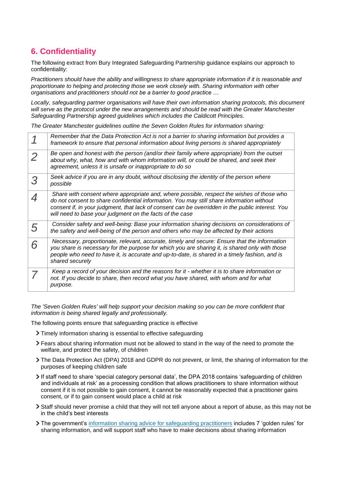# **6. Confidentiality**

The following extract from Bury Integrated Safeguarding Partnership guidance explains our approach to confidentiality:

*Practitioners should have the ability and willingness to share appropriate information if it is reasonable and proportionate to helping and protecting those we work closely with. Sharing information with other organisations and practitioners should not be a barrier to good practice …*

*Locally, safeguarding partner organisations will have their own information sharing protocols, this document will serve as the protocol under the new arrangements and should be read with the Greater Manchester Safeguarding Partnership agreed guidelines which includes the Caldicott Principles.* 

*The Greater Manchester guidelines outline the Seven Golden Rules for information sharing:*

|   | Remember that the Data Protection Act is not a barrier to sharing information but provides a<br>framework to ensure that personal information about living persons is shared appropriately                                                                                                                                                             |
|---|--------------------------------------------------------------------------------------------------------------------------------------------------------------------------------------------------------------------------------------------------------------------------------------------------------------------------------------------------------|
|   | Be open and honest with the person (and/or their family where appropriate) from the outset<br>about why, what, how and with whom information will, or could be shared, and seek their<br>agreement, unless it is unsafe or inappropriate to do so                                                                                                      |
|   | Seek advice if you are in any doubt, without disclosing the identity of the person where<br>possible                                                                                                                                                                                                                                                   |
|   | Share with consent where appropriate and, where possible, respect the wishes of those who<br>do not consent to share confidential information. You may still share information without<br>consent if, in your judgment, that lack of consent can be overridden in the public interest. You<br>will need to base your judgment on the facts of the case |
| 5 | Consider safety and well-being: Base your information sharing decisions on considerations of<br>the safety and well-being of the person and others who may be affected by their actions                                                                                                                                                                |
| 6 | Necessary, proportionate, relevant, accurate, timely and secure: Ensure that the information<br>you share is necessary for the purpose for which you are sharing it, is shared only with those<br>people who need to have it, is accurate and up-to-date, is shared in a timely fashion, and is<br>shared securely                                     |
|   | Keep a record of your decision and the reasons for it - whether it is to share information or<br>not. If you decide to share, then record what you have shared, with whom and for what<br>purpose.                                                                                                                                                     |

*The 'Seven Golden Rules' will help support your decision making so you can be more confident that information is being shared legally and professionally.*

The following points ensure that safeguarding practice is effective

- Timely information sharing is essential to effective safeguarding
- Fears about sharing information must not be allowed to stand in the way of the need to promote the welfare, and protect the safety, of children
- The Data Protection Act (DPA) 2018 and GDPR do not prevent, or limit, the sharing of information for the purposes of keeping children safe
- If staff need to share 'special category personal data', the DPA 2018 contains 'safeguarding of children and individuals at risk' as a processing condition that allows practitioners to share information without consent if it is not possible to gain consent, it cannot be reasonably expected that a practitioner gains consent, or if to gain consent would place a child at risk
- Staff should never promise a child that they will not tell anyone about a report of abuse, as this may not be in the child's best interests
- The government's [information sharing advice for safeguarding practitioners](https://www.gov.uk/government/publications/safeguarding-practitioners-information-sharing-advice) includes 7 'golden rules' for sharing information, and will support staff who have to make decisions about sharing information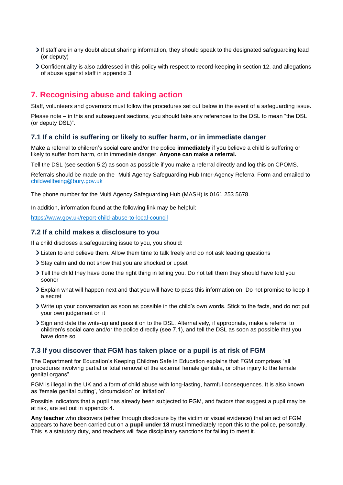- If staff are in any doubt about sharing information, they should speak to the designated safeguarding lead (or deputy)
- Confidentiality is also addressed in this policy with respect to record-keeping in section 12, and allegations of abuse against staff in appendix 3

# <span id="page-7-0"></span>**7. Recognising abuse and taking action**

Staff, volunteers and governors must follow the procedures set out below in the event of a safeguarding issue.

Please note – in this and subsequent sections, you should take any references to the DSL to mean "the DSL (or deputy DSL)".

### **7.1 If a child is suffering or likely to suffer harm, or in immediate danger**

Make a referral to children's social care and/or the police **immediately** if you believe a child is suffering or likely to suffer from harm, or in immediate danger. **Anyone can make a referral.**

Tell the DSL (see section 5.2) as soon as possible if you make a referral directly and log this on CPOMS.

Referrals should be made on the Multi Agency Safeguarding Hub Inter-Agency Referral Form and emailed to [childwellbeing@bury.gov.uk](mailto:childwellbeing@bury.gov.uk)

The phone number for the Multi Agency Safeguarding Hub (MASH) is 0161 253 5678.

In addition, information found at the following link may be helpful:

<https://www.gov.uk/report-child-abuse-to-local-council>

### **7.2 If a child makes a disclosure to you**

If a child discloses a safeguarding issue to you, you should:

- Listen to and believe them. Allow them time to talk freely and do not ask leading questions
- Stay calm and do not show that you are shocked or upset
- Tell the child they have done the right thing in telling you. Do not tell them they should have told you sooner
- Explain what will happen next and that you will have to pass this information on. Do not promise to keep it a secret
- Write up your conversation as soon as possible in the child's own words. Stick to the facts, and do not put your own judgement on it
- Sign and date the write-up and pass it on to the DSL. Alternatively, if appropriate, make a referral to children's social care and/or the police directly (see 7.1), and tell the DSL as soon as possible that you have done so

# **7.3 If you discover that FGM has taken place or a pupil is at risk of FGM**

The Department for Education's Keeping Children Safe in Education explains that FGM comprises "all procedures involving partial or total removal of the external female genitalia, or other injury to the female genital organs".

FGM is illegal in the UK and a form of child abuse with long-lasting, harmful consequences. It is also known as 'female genital cutting', 'circumcision' or 'initiation'.

Possible indicators that a pupil has already been subjected to FGM, and factors that suggest a pupil may be at risk, are set out in appendix 4.

**Any teacher** who discovers (either through disclosure by the victim or visual evidence) that an act of FGM appears to have been carried out on a **pupil under 18** must immediately report this to the police, personally. This is a statutory duty, and teachers will face disciplinary sanctions for failing to meet it.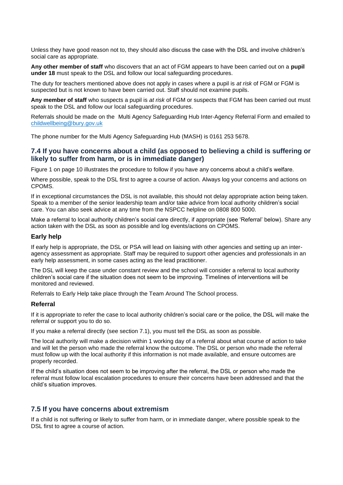Unless they have good reason not to, they should also discuss the case with the DSL and involve children's social care as appropriate.

**Any other member of staff** who discovers that an act of FGM appears to have been carried out on a **pupil under 18** must speak to the DSL and follow our local safeguarding procedures.

The duty for teachers mentioned above does not apply in cases where a pupil is *at risk* of FGM or FGM is suspected but is not known to have been carried out. Staff should not examine pupils.

**Any member of staff** who suspects a pupil is *at risk* of FGM or suspects that FGM has been carried out must speak to the DSL and follow our local safeguarding procedures.

Referrals should be made on the Multi Agency Safeguarding Hub Inter-Agency Referral Form and emailed to [childwellbeing@bury.gov.uk](mailto:childwellbeing@bury.gov.uk)

The phone number for the Multi Agency Safeguarding Hub (MASH) is 0161 253 5678.

### **7.4 If you have concerns about a child (as opposed to believing a child is suffering or likely to suffer from harm, or is in immediate danger)**

Figure 1 on page 10 illustrates the procedure to follow if you have any concerns about a child's welfare.

Where possible, speak to the DSL first to agree a course of action. Always log your concerns and actions on CPOMS.

If in exceptional circumstances the DSL is not available, this should not delay appropriate action being taken. Speak to a member of the senior leadership team and/or take advice from local authority children's social care. You can also seek advice at any time from the NSPCC helpline on 0808 800 5000.

Make a referral to local authority children's social care directly, if appropriate (see 'Referral' below). Share any action taken with the DSL as soon as possible and log events/actions on CPOMS.

#### **Early help**

If early help is appropriate, the DSL or PSA will lead on liaising with other agencies and setting up an interagency assessment as appropriate. Staff may be required to support other agencies and professionals in an early help assessment, in some cases acting as the lead practitioner.

The DSL will keep the case under constant review and the school will consider a referral to local authority children's social care if the situation does not seem to be improving. Timelines of interventions will be monitored and reviewed.

Referrals to Early Help take place through the Team Around The School process.

#### **Referral**

If it is appropriate to refer the case to local authority children's social care or the police, the DSL will make the referral or support you to do so.

If you make a referral directly (see section 7.1), you must tell the DSL as soon as possible.

The local authority will make a decision within 1 working day of a referral about what course of action to take and will let the person who made the referral know the outcome. The DSL or person who made the referral must follow up with the local authority if this information is not made available, and ensure outcomes are properly recorded.

If the child's situation does not seem to be improving after the referral, the DSL or person who made the referral must follow local escalation procedures to ensure their concerns have been addressed and that the child's situation improves.

### **7.5 If you have concerns about extremism**

If a child is not suffering or likely to suffer from harm, or in immediate danger, where possible speak to the DSL first to agree a course of action.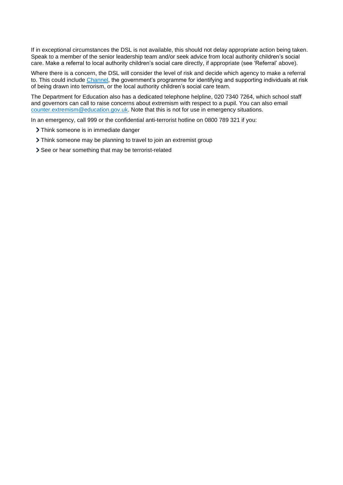If in exceptional circumstances the DSL is not available, this should not delay appropriate action being taken. Speak to a member of the senior leadership team and/or seek advice from local authority children's social care. Make a referral to local authority children's social care directly, if appropriate (see 'Referral' above).

Where there is a concern, the DSL will consider the level of risk and decide which agency to make a referral to. This could include [Channel,](https://www.gov.uk/government/publications/channel-guidance) the government's programme for identifying and supporting individuals at risk of being drawn into terrorism, or the local authority children's social care team.

The Department for Education also has a dedicated telephone helpline, 020 7340 7264, which school staff and governors can call to raise concerns about extremism with respect to a pupil. You can also email [counter.extremism@education.gov.uk.](mailto:counter.extremism@education.gov.uk) Note that this is not for use in emergency situations.

In an emergency, call 999 or the confidential anti-terrorist hotline on 0800 789 321 if you:

- > Think someone is in immediate danger
- Think someone may be planning to travel to join an extremist group
- > See or hear something that may be terrorist-related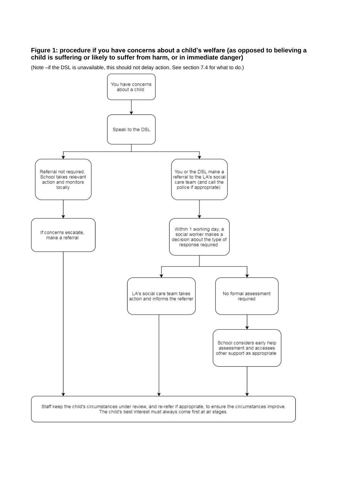### **Figure 1: procedure if you have concerns about a child's welfare (as opposed to believing a child is suffering or likely to suffer from harm, or in immediate danger)**

(Note –if the DSL is unavailable, this should not delay action. See section 7.4 for what to do.)

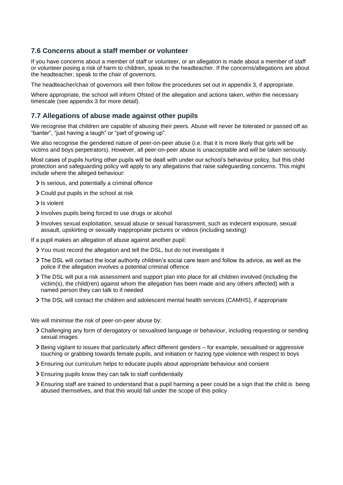# **7.6 Concerns about a staff member or volunteer**

If you have concerns about a member of staff or volunteer, or an allegation is made about a member of staff or volunteer posing a risk of harm to children, speak to the headteacher. If the concerns/allegations are about the headteacher, speak to the chair of governors.

The headteacher/chair of governors will then follow the procedures set out in appendix 3, if appropriate.

Where appropriate, the school will inform Ofsted of the allegation and actions taken, within the necessary timescale (see appendix 3 for more detail).

# **7.7 Allegations of abuse made against other pupils**

We recognise that children are capable of abusing their peers. Abuse will never be tolerated or passed off as "banter", "just having a laugh" or "part of growing up".

We also recognise the gendered nature of peer-on-peer abuse (i.e. that it is more likely that girls will be victims and boys perpetrators). However, all peer-on-peer abuse is unacceptable and will be taken seriously.

Most cases of pupils hurting other pupils will be dealt with under our school's behaviour policy, but this child protection and safeguarding policy will apply to any allegations that raise safeguarding concerns. This might include where the alleged behaviour:

- If is serious, and potentially a criminal offence
- Could put pupils in the school at risk
- > Is violent
- Involves pupils being forced to use drugs or alcohol
- Involves sexual exploitation, sexual abuse or sexual harassment, such as indecent exposure, sexual assault, upskirting or sexually inappropriate pictures or videos (including sexting)

If a pupil makes an allegation of abuse against another pupil:

- You must record the allegation and tell the DSL, but do not investigate it
- The DSL will contact the local authority children's social care team and follow its advice, as well as the police if the allegation involves a potential criminal offence
- The DSL will put a risk assessment and support plan into place for all children involved (including the victim(s), the child(ren) against whom the allegation has been made and any others affected) with a named person they can talk to if needed
- The DSL will contact the children and adolescent mental health services (CAMHS), if appropriate

We will minimise the risk of peer-on-peer abuse by:

- Challenging any form of derogatory or sexualised language or behaviour, including requesting or sending sexual images
- Being vigilant to issues that particularly affect different genders for example, sexualised or aggressive touching or grabbing towards female pupils, and initiation or hazing type violence with respect to boys
- Ensuring our curriculum helps to educate pupils about appropriate behaviour and consent
- Ensuring pupils know they can talk to staff confidentially
- Ensuring staff are trained to understand that a pupil harming a peer could be a sign that the child is being abused themselves, and that this would fall under the scope of this policy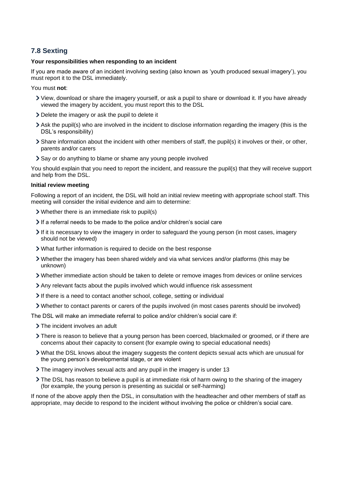# **7.8 Sexting**

#### **Your responsibilities when responding to an incident**

If you are made aware of an incident involving sexting (also known as 'youth produced sexual imagery'), you must report it to the DSL immediately.

You must **not**:

- View, download or share the imagery yourself, or ask a pupil to share or download it. If you have already viewed the imagery by accident, you must report this to the DSL
- Delete the imagery or ask the pupil to delete it
- Ask the pupil(s) who are involved in the incident to disclose information regarding the imagery (this is the DSL's responsibility)
- Share information about the incident with other members of staff, the pupil(s) it involves or their, or other, parents and/or carers
- Say or do anything to blame or shame any young people involved

You should explain that you need to report the incident, and reassure the pupil(s) that they will receive support and help from the DSL.

#### **Initial review meeting**

Following a report of an incident, the DSL will hold an initial review meeting with appropriate school staff. This meeting will consider the initial evidence and aim to determine:

- Whether there is an immediate risk to pupil(s)
- If a referral needs to be made to the police and/or children's social care
- If it is necessary to view the imagery in order to safeguard the young person (in most cases, imagery should not be viewed)
- What further information is required to decide on the best response
- Whether the imagery has been shared widely and via what services and/or platforms (this may be unknown)
- Whether immediate action should be taken to delete or remove images from devices or online services
- Any relevant facts about the pupils involved which would influence risk assessment
- If there is a need to contact another school, college, setting or individual
- Whether to contact parents or carers of the pupils involved (in most cases parents should be involved)

The DSL will make an immediate referral to police and/or children's social care if:

- > The incident involves an adult
- There is reason to believe that a young person has been coerced, blackmailed or groomed, or if there are concerns about their capacity to consent (for example owing to special educational needs)
- What the DSL knows about the imagery suggests the content depicts sexual acts which are unusual for the young person's developmental stage, or are violent
- The imagery involves sexual acts and any pupil in the imagery is under 13
- If The DSL has reason to believe a pupil is at immediate risk of harm owing to the sharing of the imagery (for example, the young person is presenting as suicidal or self-harming)

If none of the above apply then the DSL, in consultation with the headteacher and other members of staff as appropriate, may decide to respond to the incident without involving the police or children's social care.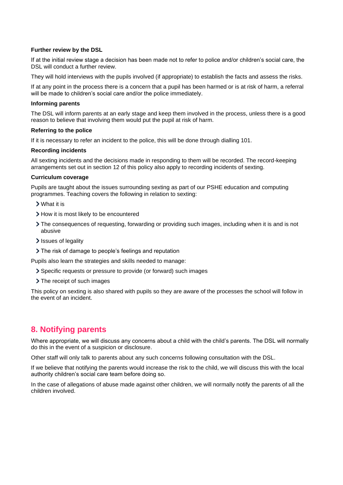#### **Further review by the DSL**

If at the initial review stage a decision has been made not to refer to police and/or children's social care, the DSL will conduct a further review.

They will hold interviews with the pupils involved (if appropriate) to establish the facts and assess the risks.

If at any point in the process there is a concern that a pupil has been harmed or is at risk of harm, a referral will be made to children's social care and/or the police immediately.

#### **Informing parents**

The DSL will inform parents at an early stage and keep them involved in the process, unless there is a good reason to believe that involving them would put the pupil at risk of harm.

#### **Referring to the police**

If it is necessary to refer an incident to the police, this will be done through dialling 101.

#### **Recording incidents**

All sexting incidents and the decisions made in responding to them will be recorded. The record-keeping arrangements set out in section 12 of this policy also apply to recording incidents of sexting.

#### **Curriculum coverage**

Pupils are taught about the issues surrounding sexting as part of our PSHE education and computing programmes. Teaching covers the following in relation to sexting:

- What it is
- > How it is most likely to be encountered
- The consequences of requesting, forwarding or providing such images, including when it is and is not abusive
- Issues of legality
- The risk of damage to people's feelings and reputation

Pupils also learn the strategies and skills needed to manage:

- Specific requests or pressure to provide (or forward) such images
- > The receipt of such images

This policy on sexting is also shared with pupils so they are aware of the processes the school will follow in the event of an incident.

# <span id="page-13-0"></span>**8. Notifying parents**

Where appropriate, we will discuss any concerns about a child with the child's parents. The DSL will normally do this in the event of a suspicion or disclosure.

Other staff will only talk to parents about any such concerns following consultation with the DSL.

If we believe that notifying the parents would increase the risk to the child, we will discuss this with the local authority children's social care team before doing so.

<span id="page-13-1"></span>In the case of allegations of abuse made against other children, we will normally notify the parents of all the children involved.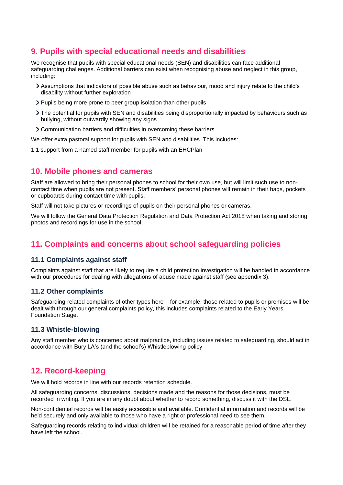# **9. Pupils with special educational needs and disabilities**

We recognise that pupils with special educational needs (SEN) and disabilities can face additional safeguarding challenges. Additional barriers can exist when recognising abuse and neglect in this group, including:

- Assumptions that indicators of possible abuse such as behaviour, mood and injury relate to the child's disability without further exploration
- Pupils being more prone to peer group isolation than other pupils
- The potential for pupils with SEN and disabilities being disproportionally impacted by behaviours such as bullying, without outwardly showing any signs
- Communication barriers and difficulties in overcoming these barriers

We offer extra pastoral support for pupils with SEN and disabilities. This includes:

1:1 support from a named staff member for pupils with an EHCPlan

# <span id="page-14-0"></span>**10. Mobile phones and cameras**

Staff are allowed to bring their personal phones to school for their own use, but will limit such use to noncontact time when pupils are not present. Staff members' personal phones will remain in their bags, pockets or cupboards during contact time with pupils.

Staff will not take pictures or recordings of pupils on their personal phones or cameras.

We will follow the General Data Protection Regulation and Data Protection Act 2018 when taking and storing photos and recordings for use in the school.

# <span id="page-14-1"></span>**11. Complaints and concerns about school safeguarding policies**

# **11.1 Complaints against staff**

Complaints against staff that are likely to require a child protection investigation will be handled in accordance with our procedures for dealing with allegations of abuse made against staff (see appendix 3).

# **11.2 Other complaints**

Safeguarding-related complaints of other types here – for example, those related to pupils or premises will be dealt with through our general complaints policy, this includes complaints related to the Early Years Foundation Stage.

# **11.3 Whistle-blowing**

Any staff member who is concerned about malpractice, including issues related to safeguarding, should act in accordance with Bury LA's (and the school's) Whistleblowing policy

# <span id="page-14-2"></span>**12. Record-keeping**

We will hold records in line with our records retention schedule.

All safeguarding concerns, discussions, decisions made and the reasons for those decisions, must be recorded in writing. If you are in any doubt about whether to record something, discuss it with the DSL.

Non-confidential records will be easily accessible and available. Confidential information and records will be held securely and only available to those who have a right or professional need to see them.

Safeguarding records relating to individual children will be retained for a reasonable period of time after they have left the school.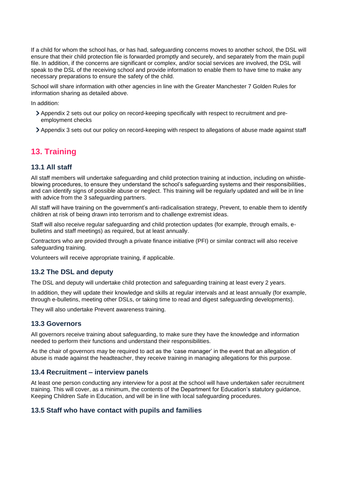If a child for whom the school has, or has had, safeguarding concerns moves to another school, the DSL will ensure that their child protection file is forwarded promptly and securely, and separately from the main pupil file. In addition, if the concerns are significant or complex, and/or social services are involved, the DSL will speak to the DSL of the receiving school and provide information to enable them to have time to make any necessary preparations to ensure the safety of the child.

School will share information with other agencies in line with the Greater Manchester 7 Golden Rules for information sharing as detailed above.

In addition:

- Appendix 2 sets out our policy on record-keeping specifically with respect to recruitment and preemployment checks
- Appendix 3 sets out our policy on record-keeping with respect to allegations of abuse made against staff

# <span id="page-15-0"></span>**13. Training**

# **13.1 All staff**

All staff members will undertake safeguarding and child protection training at induction, including on whistleblowing procedures, to ensure they understand the school's safeguarding systems and their responsibilities, and can identify signs of possible abuse or neglect. This training will be regularly updated and will be in line with advice from the 3 safeguarding partners.

All staff will have training on the government's anti-radicalisation strategy, Prevent, to enable them to identify children at risk of being drawn into terrorism and to challenge extremist ideas.

Staff will also receive regular safeguarding and child protection updates (for example, through emails, ebulletins and staff meetings) as required, but at least annually.

Contractors who are provided through a private finance initiative (PFI) or similar contract will also receive safeguarding training.

Volunteers will receive appropriate training, if applicable.

# **13.2 The DSL and deputy**

The DSL and deputy will undertake child protection and safeguarding training at least every 2 years.

In addition, they will update their knowledge and skills at regular intervals and at least annually (for example, through e-bulletins, meeting other DSLs, or taking time to read and digest safeguarding developments).

They will also undertake Prevent awareness training.

### **13.3 Governors**

All governors receive training about safeguarding, to make sure they have the knowledge and information needed to perform their functions and understand their responsibilities.

As the chair of governors may be required to act as the 'case manager' in the event that an allegation of abuse is made against the headteacher, they receive training in managing allegations for this purpose.

### **13.4 Recruitment – interview panels**

At least one person conducting any interview for a post at the school will have undertaken safer recruitment training. This will cover, as a minimum, the contents of the Department for Education's statutory guidance, Keeping Children Safe in Education, and will be in line with local safeguarding procedures.

# **13.5 Staff who have contact with pupils and families**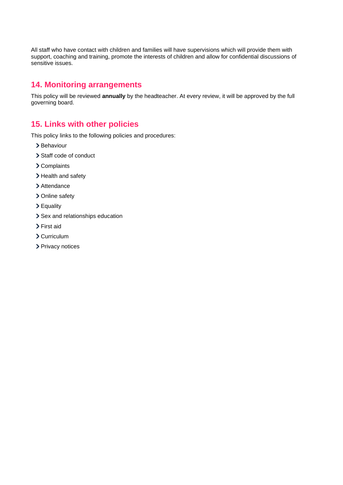All staff who have contact with children and families will have supervisions which will provide them with support, coaching and training, promote the interests of children and allow for confidential discussions of sensitive issues.

# <span id="page-16-0"></span>**14. Monitoring arrangements**

This policy will be reviewed **annually** by the headteacher. At every review, it will be approved by the full governing board.

# <span id="page-16-1"></span>**15. Links with other policies**

This policy links to the following policies and procedures:

- > Behaviour
- > Staff code of conduct
- > Complaints
- > Health and safety
- > Attendance
- > Online safety
- Equality
- > Sex and relationships education
- First aid
- Curriculum
- > Privacy notices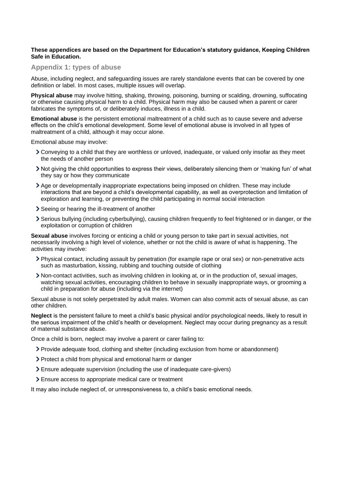#### **These appendices are based on the Department for Education's statutory guidance, Keeping Children Safe in Education.**

### <span id="page-17-0"></span>**Appendix 1: types of abuse**

Abuse, including neglect, and safeguarding issues are rarely standalone events that can be covered by one definition or label. In most cases, multiple issues will overlap.

**Physical abuse** may involve hitting, shaking, throwing, poisoning, burning or scalding, drowning, suffocating or otherwise causing physical harm to a child. Physical harm may also be caused when a parent or carer fabricates the symptoms of, or deliberately induces, illness in a child.

**Emotional abuse** is the persistent emotional maltreatment of a child such as to cause severe and adverse effects on the child's emotional development. Some level of emotional abuse is involved in all types of maltreatment of a child, although it may occur alone.

Emotional abuse may involve:

- Conveying to a child that they are worthless or unloved, inadequate, or valued only insofar as they meet the needs of another person
- Not giving the child opportunities to express their views, deliberately silencing them or 'making fun' of what they say or how they communicate
- Age or developmentally inappropriate expectations being imposed on children. These may include interactions that are beyond a child's developmental capability, as well as overprotection and limitation of exploration and learning, or preventing the child participating in normal social interaction
- Seeing or hearing the ill-treatment of another
- Serious bullying (including cyberbullying), causing children frequently to feel frightened or in danger, or the exploitation or corruption of children

**Sexual abuse** involves forcing or enticing a child or young person to take part in sexual activities, not necessarily involving a high level of violence, whether or not the child is aware of what is happening. The activities may involve:

- Physical contact, including assault by penetration (for example rape or oral sex) or non-penetrative acts such as masturbation, kissing, rubbing and touching outside of clothing
- Non-contact activities, such as involving children in looking at, or in the production of, sexual images, watching sexual activities, encouraging children to behave in sexually inappropriate ways, or grooming a child in preparation for abuse (including via the internet)

Sexual abuse is not solely perpetrated by adult males. Women can also commit acts of sexual abuse, as can other children.

**Neglect** is the persistent failure to meet a child's basic physical and/or psychological needs, likely to result in the serious impairment of the child's health or development. Neglect may occur during pregnancy as a result of maternal substance abuse.

Once a child is born, neglect may involve a parent or carer failing to:

- Provide adequate food, clothing and shelter (including exclusion from home or abandonment)
- Protect a child from physical and emotional harm or danger
- Ensure adequate supervision (including the use of inadequate care-givers)
- Ensure access to appropriate medical care or treatment

It may also include neglect of, or unresponsiveness to, a child's basic emotional needs.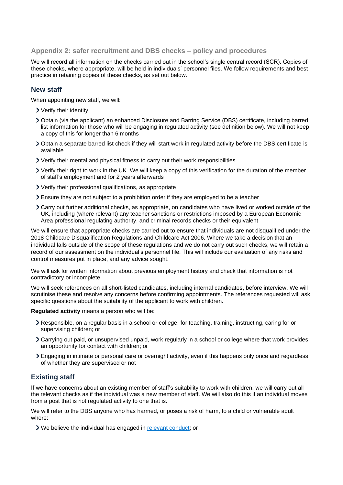### <span id="page-18-0"></span>**Appendix 2: safer recruitment and DBS checks – policy and procedures**

We will record all information on the checks carried out in the school's single central record (SCR). Copies of these checks, where appropriate, will be held in individuals' personnel files. We follow requirements and best practice in retaining copies of these checks, as set out below.

# **New staff**

When appointing new staff, we will:

- Verify their identity
- Obtain (via the applicant) an enhanced Disclosure and Barring Service (DBS) certificate, including barred list information for those who will be engaging in regulated activity (see definition below). We will not keep a copy of this for longer than 6 months
- Obtain a separate barred list check if they will start work in regulated activity before the DBS certificate is available
- Verify their mental and physical fitness to carry out their work responsibilities
- Verify their right to work in the UK. We will keep a copy of this verification for the duration of the member of staff's employment and for 2 years afterwards
- Verify their professional qualifications, as appropriate
- Ensure they are not subject to a prohibition order if they are employed to be a teacher
- Carry out further additional checks, as appropriate, on candidates who have lived or worked outside of the UK, including (where relevant) any teacher sanctions or restrictions imposed by a European Economic Area professional regulating authority, and criminal records checks or their equivalent

We will ensure that appropriate checks are carried out to ensure that individuals are not disqualified under the 2018 Childcare Disqualification Regulations and Childcare Act 2006. Where we take a decision that an individual falls outside of the scope of these regulations and we do not carry out such checks, we will retain a record of our assessment on the individual's personnel file. This will include our evaluation of any risks and control measures put in place, and any advice sought.

We will ask for written information about previous employment history and check that information is not contradictory or incomplete.

We will seek references on all short-listed candidates, including internal candidates, before interview. We will scrutinise these and resolve any concerns before confirming appointments. The references requested will ask specific questions about the suitability of the applicant to work with children.

**Regulated activity** means a person who will be:

- Responsible, on a regular basis in a school or college, for teaching, training, instructing, caring for or supervising children; or
- Carrying out paid, or unsupervised unpaid, work regularly in a school or college where that work provides an opportunity for contact with children; or
- Engaging in intimate or personal care or overnight activity, even if this happens only once and regardless of whether they are supervised or not

# **Existing staff**

If we have concerns about an existing member of staff's suitability to work with children, we will carry out all the relevant checks as if the individual was a new member of staff. We will also do this if an individual moves from a post that is not regulated activity to one that is.

We will refer to the DBS anyone who has harmed, or poses a risk of harm, to a child or vulnerable adult where:

We believe the individual has engaged in [relevant conduct;](https://www.gov.uk/guidance/making-barring-referrals-to-the-dbs#relevant-conduct-in-relation-to-children) or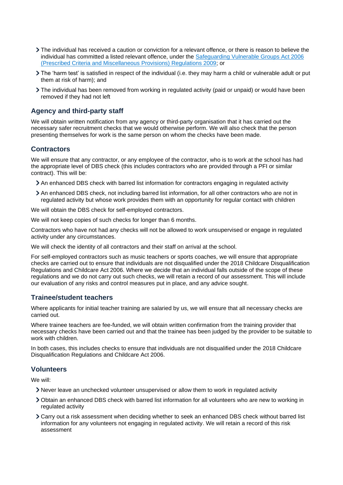- The individual has received a caution or conviction for a relevant offence, or there is reason to believe the individual has committed a listed relevant offence, under the [Safeguarding Vulnerable Groups Act 2006](http://www.legislation.gov.uk/uksi/2009/37/contents/made)  [\(Prescribed Criteria and Miscellaneous Provisions\) Regulations 2009;](http://www.legislation.gov.uk/uksi/2009/37/contents/made) or
- The 'harm test' is satisfied in respect of the individual (i.e. they may harm a child or vulnerable adult or put them at risk of harm); and
- The individual has been removed from working in regulated activity (paid or unpaid) or would have been removed if they had not left

# **Agency and third-party staff**

We will obtain written notification from any agency or third-party organisation that it has carried out the necessary safer recruitment checks that we would otherwise perform. We will also check that the person presenting themselves for work is the same person on whom the checks have been made.

# **Contractors**

We will ensure that any contractor, or any employee of the contractor, who is to work at the school has had the appropriate level of DBS check (this includes contractors who are provided through a PFI or similar contract). This will be:

- An enhanced DBS check with barred list information for contractors engaging in regulated activity
- An enhanced DBS check, not including barred list information, for all other contractors who are not in regulated activity but whose work provides them with an opportunity for regular contact with children

We will obtain the DBS check for self-employed contractors.

We will not keep copies of such checks for longer than 6 months.

Contractors who have not had any checks will not be allowed to work unsupervised or engage in regulated activity under any circumstances.

We will check the identity of all contractors and their staff on arrival at the school.

For self-employed contractors such as music teachers or sports coaches, we will ensure that appropriate checks are carried out to ensure that individuals are not disqualified under the 2018 Childcare Disqualification Regulations and Childcare Act 2006. Where we decide that an individual falls outside of the scope of these regulations and we do not carry out such checks, we will retain a record of our assessment. This will include our evaluation of any risks and control measures put in place, and any advice sought.

# **Trainee/student teachers**

Where applicants for initial teacher training are salaried by us, we will ensure that all necessary checks are carried out.

Where trainee teachers are fee-funded, we will obtain written confirmation from the training provider that necessary checks have been carried out and that the trainee has been judged by the provider to be suitable to work with children.

In both cases, this includes checks to ensure that individuals are not disqualified under the 2018 Childcare Disqualification Regulations and Childcare Act 2006.

# **Volunteers**

We will:

- Never leave an unchecked volunteer unsupervised or allow them to work in regulated activity
- Obtain an enhanced DBS check with barred list information for all volunteers who are new to working in regulated activity
- Carry out a risk assessment when deciding whether to seek an enhanced DBS check without barred list information for any volunteers not engaging in regulated activity. We will retain a record of this risk assessment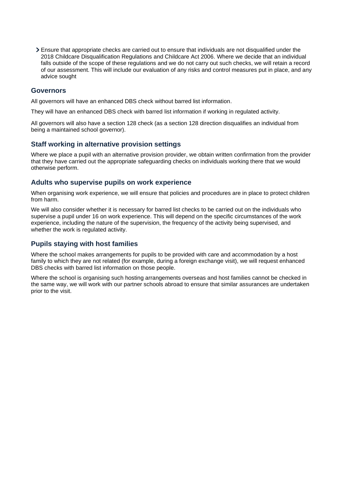Ensure that appropriate checks are carried out to ensure that individuals are not disqualified under the 2018 Childcare Disqualification Regulations and Childcare Act 2006. Where we decide that an individual falls outside of the scope of these regulations and we do not carry out such checks, we will retain a record of our assessment. This will include our evaluation of any risks and control measures put in place, and any advice sought

### **Governors**

All governors will have an enhanced DBS check without barred list information.

They will have an enhanced DBS check with barred list information if working in regulated activity.

All governors will also have a section 128 check (as a section 128 direction disqualifies an individual from being a maintained school governor).

### **Staff working in alternative provision settings**

Where we place a pupil with an alternative provision provider, we obtain written confirmation from the provider that they have carried out the appropriate safeguarding checks on individuals working there that we would otherwise perform.

### **Adults who supervise pupils on work experience**

When organising work experience, we will ensure that policies and procedures are in place to protect children from harm.

We will also consider whether it is necessary for barred list checks to be carried out on the individuals who supervise a pupil under 16 on work experience. This will depend on the specific circumstances of the work experience, including the nature of the supervision, the frequency of the activity being supervised, and whether the work is regulated activity.

# **Pupils staying with host families**

Where the school makes arrangements for pupils to be provided with care and accommodation by a host family to which they are not related (for example, during a foreign exchange visit), we will request enhanced DBS checks with barred list information on those people.

Where the school is organising such hosting arrangements overseas and host families cannot be checked in the same way, we will work with our partner schools abroad to ensure that similar assurances are undertaken prior to the visit.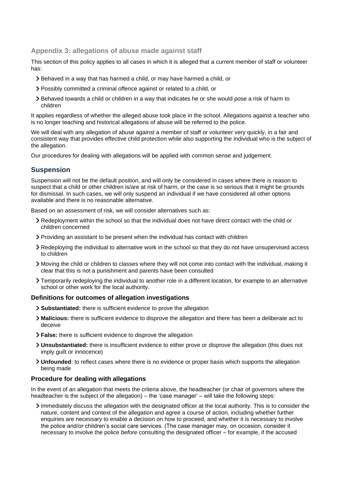# <span id="page-21-0"></span>**Appendix 3: allegations of abuse made against staff**

This section of this policy applies to all cases in which it is alleged that a current member of staff or volunteer has:

- Behaved in a way that has harmed a child, or may have harmed a child, or
- Possibly committed a criminal offence against or related to a child, or
- Behaved towards a child or children in a way that indicates he or she would pose a risk of harm to children

It applies regardless of whether the alleged abuse took place in the school. Allegations against a teacher who is no longer teaching and historical allegations of abuse will be referred to the police.

We will deal with any allegation of abuse against a member of staff or volunteer very quickly, in a fair and consistent way that provides effective child protection while also supporting the individual who is the subject of the allegation.

Our procedures for dealing with allegations will be applied with common sense and judgement.

# **Suspension**

Suspension will not be the default position, and will only be considered in cases where there is reason to suspect that a child or other children is/are at risk of harm, or the case is so serious that it might be grounds for dismissal. In such cases, we will only suspend an individual if we have considered all other options available and there is no reasonable alternative.

Based on an assessment of risk, we will consider alternatives such as:

- Redeployment within the school so that the individual does not have direct contact with the child or children concerned
- Providing an assistant to be present when the individual has contact with children
- Redeploying the individual to alternative work in the school so that they do not have unsupervised access to children
- Moving the child or children to classes where they will not come into contact with the individual, making it clear that this is not a punishment and parents have been consulted
- Temporarily redeploying the individual to another role in a different location, for example to an alternative school or other work for the local authority.

### **Definitions for outcomes of allegation investigations**

- **Substantiated:** there is sufficient evidence to prove the allegation
- **Malicious:** there is sufficient evidence to disprove the allegation and there has been a deliberate act to deceive
- **False:** there is sufficient evidence to disprove the allegation
- **Unsubstantiated:** there is insufficient evidence to either prove or disprove the allegation (this does not imply guilt or innocence)
- **Unfounded**: to reflect cases where there is no evidence or proper basis which supports the allegation being made

### **Procedure for dealing with allegations**

In the event of an allegation that meets the criteria above, the headteacher (or chair of governors where the headteacher is the subject of the allegation) – the 'case manager' – will take the following steps:

Immediately discuss the allegation with the designated officer at the local authority. This is to consider the nature, content and context of the allegation and agree a course of action, including whether further enquiries are necessary to enable a decision on how to proceed, and whether it is necessary to involve the police and/or children's social care services. (The case manager may, on occasion, consider it necessary to involve the police *before* consulting the designated officer – for example, if the accused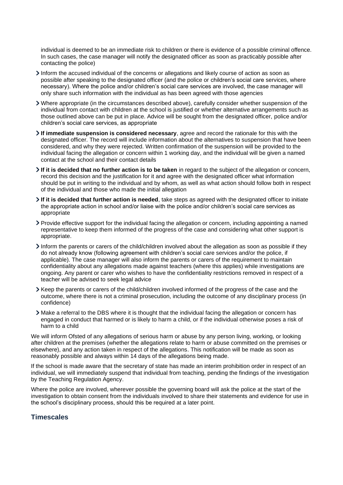individual is deemed to be an immediate risk to children or there is evidence of a possible criminal offence. In such cases, the case manager will notify the designated officer as soon as practicably possible after contacting the police)

- Inform the accused individual of the concerns or allegations and likely course of action as soon as possible after speaking to the designated officer (and the police or children's social care services, where necessary). Where the police and/or children's social care services are involved, the case manager will only share such information with the individual as has been agreed with those agencies
- Where appropriate (in the circumstances described above), carefully consider whether suspension of the individual from contact with children at the school is justified or whether alternative arrangements such as those outlined above can be put in place. Advice will be sought from the designated officer, police and/or children's social care services, as appropriate
- **If immediate suspension is considered necessary**, agree and record the rationale for this with the designated officer. The record will include information about the alternatives to suspension that have been considered, and why they were rejected. Written confirmation of the suspension will be provided to the individual facing the allegation or concern within 1 working day, and the individual will be given a named contact at the school and their contact details
- **If it is decided that no further action is to be taken** in regard to the subject of the allegation or concern, record this decision and the justification for it and agree with the designated officer what information should be put in writing to the individual and by whom, as well as what action should follow both in respect of the individual and those who made the initial allegation
- **If it is decided that further action is needed**, take steps as agreed with the designated officer to initiate the appropriate action in school and/or liaise with the police and/or children's social care services as appropriate
- Provide effective support for the individual facing the allegation or concern, including appointing a named representative to keep them informed of the progress of the case and considering what other support is appropriate.
- Inform the parents or carers of the child/children involved about the allegation as soon as possible if they do not already know (following agreement with children's social care services and/or the police, if applicable). The case manager will also inform the parents or carers of the requirement to maintain confidentiality about any allegations made against teachers (where this applies) while investigations are ongoing. Any parent or carer who wishes to have the confidentiality restrictions removed in respect of a teacher will be advised to seek legal advice
- Keep the parents or carers of the child/children involved informed of the progress of the case and the outcome, where there is not a criminal prosecution, including the outcome of any disciplinary process (in confidence)
- Make a referral to the DBS where it is thought that the individual facing the allegation or concern has engaged in conduct that harmed or is likely to harm a child, or if the individual otherwise poses a risk of harm to a child

We will inform Ofsted of any allegations of serious harm or abuse by any person living, working, or looking after children at the premises (whether the allegations relate to harm or abuse committed on the premises or elsewhere), and any action taken in respect of the allegations. This notification will be made as soon as reasonably possible and always within 14 days of the allegations being made.

If the school is made aware that the secretary of state has made an interim prohibition order in respect of an individual, we will immediately suspend that individual from teaching, pending the findings of the investigation by the Teaching Regulation Agency.

Where the police are involved, wherever possible the governing board will ask the police at the start of the investigation to obtain consent from the individuals involved to share their statements and evidence for use in the school's disciplinary process, should this be required at a later point.

# **Timescales**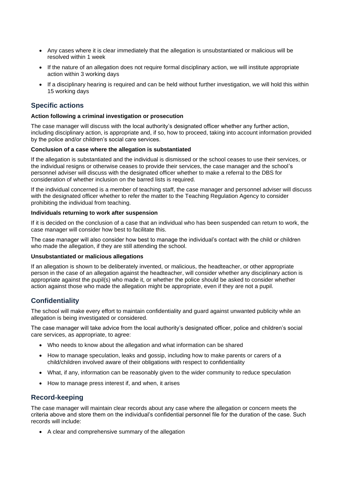- Any cases where it is clear immediately that the allegation is unsubstantiated or malicious will be resolved within 1 week
- If the nature of an allegation does not require formal disciplinary action, we will institute appropriate action within 3 working days
- If a disciplinary hearing is required and can be held without further investigation, we will hold this within 15 working days

# **Specific actions**

#### **Action following a criminal investigation or prosecution**

The case manager will discuss with the local authority's designated officer whether any further action, including disciplinary action, is appropriate and, if so, how to proceed, taking into account information provided by the police and/or children's social care services.

#### **Conclusion of a case where the allegation is substantiated**

If the allegation is substantiated and the individual is dismissed or the school ceases to use their services, or the individual resigns or otherwise ceases to provide their services, the case manager and the school's personnel adviser will discuss with the designated officer whether to make a referral to the DBS for consideration of whether inclusion on the barred lists is required.

If the individual concerned is a member of teaching staff, the case manager and personnel adviser will discuss with the designated officer whether to refer the matter to the Teaching Regulation Agency to consider prohibiting the individual from teaching.

#### **Individuals returning to work after suspension**

If it is decided on the conclusion of a case that an individual who has been suspended can return to work, the case manager will consider how best to facilitate this.

The case manager will also consider how best to manage the individual's contact with the child or children who made the allegation, if they are still attending the school.

#### **Unsubstantiated or malicious allegations**

If an allegation is shown to be deliberately invented, or malicious, the headteacher, or other appropriate person in the case of an allegation against the headteacher, will consider whether any disciplinary action is appropriate against the pupil(s) who made it, or whether the police should be asked to consider whether action against those who made the allegation might be appropriate, even if they are not a pupil.

# **Confidentiality**

The school will make every effort to maintain confidentiality and guard against unwanted publicity while an allegation is being investigated or considered.

The case manager will take advice from the local authority's designated officer, police and children's social care services, as appropriate, to agree:

- Who needs to know about the allegation and what information can be shared
- How to manage speculation, leaks and gossip, including how to make parents or carers of a child/children involved aware of their obligations with respect to confidentiality
- What, if any, information can be reasonably given to the wider community to reduce speculation
- How to manage press interest if, and when, it arises

# **Record-keeping**

The case manager will maintain clear records about any case where the allegation or concern meets the criteria above and store them on the individual's confidential personnel file for the duration of the case. Such records will include:

• A clear and comprehensive summary of the allegation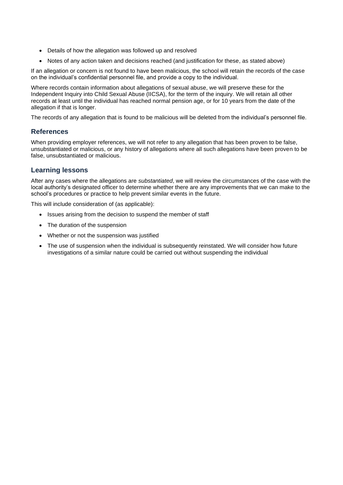- Details of how the allegation was followed up and resolved
- Notes of any action taken and decisions reached (and justification for these, as stated above)

If an allegation or concern is not found to have been malicious, the school will retain the records of the case on the individual's confidential personnel file, and provide a copy to the individual.

Where records contain information about allegations of sexual abuse, we will preserve these for the Independent Inquiry into Child Sexual Abuse (IICSA), for the term of the inquiry. We will retain all other records at least until the individual has reached normal pension age, or for 10 years from the date of the allegation if that is longer.

The records of any allegation that is found to be malicious will be deleted from the individual's personnel file.

# **References**

When providing employer references, we will not refer to any allegation that has been proven to be false, unsubstantiated or malicious, or any history of allegations where all such allegations have been proven to be false, unsubstantiated or malicious.

# **Learning lessons**

After any cases where the allegations are *substantiated*, we will review the circumstances of the case with the local authority's designated officer to determine whether there are any improvements that we can make to the school's procedures or practice to help prevent similar events in the future.

This will include consideration of (as applicable):

- Issues arising from the decision to suspend the member of staff
- The duration of the suspension
- Whether or not the suspension was justified
- The use of suspension when the individual is subsequently reinstated. We will consider how future investigations of a similar nature could be carried out without suspending the individual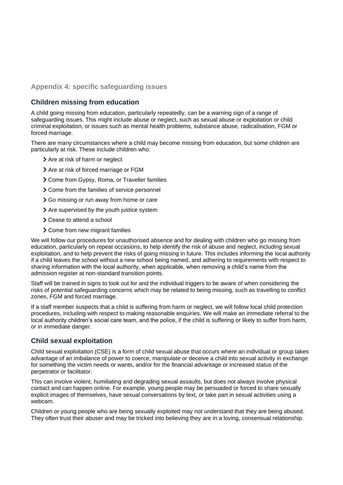# <span id="page-25-0"></span>**Appendix 4: specific safeguarding issues**

# **Children missing from education**

A child going missing from education, particularly repeatedly, can be a warning sign of a range of safeguarding issues. This might include abuse or neglect, such as sexual abuse or exploitation or child criminal exploitation, or issues such as mental health problems, substance abuse, radicalisation, FGM or forced marriage.

There are many circumstances where a child may become missing from education, but some children are particularly at risk. These include children who:

- > Are at risk of harm or neglect
- > Are at risk of forced marriage or FGM
- Come from Gypsy, Roma, or Traveller families
- Come from the families of service personnel
- > Go missing or run away from home or care
- Are supervised by the youth justice system
- > Cease to attend a school
- Come from new migrant families

We will follow our procedures for unauthorised absence and for dealing with children who go missing from education, particularly on repeat occasions, to help identify the risk of abuse and neglect, including sexual exploitation, and to help prevent the risks of going missing in future. This includes informing the local authority if a child leaves the school without a new school being named, and adhering to requirements with respect to sharing information with the local authority, when applicable, when removing a child's name from the admission register at non-standard transition points.

Staff will be trained in signs to look out for and the individual triggers to be aware of when considering the risks of potential safeguarding concerns which may be related to being missing, such as travelling to conflict zones, FGM and forced marriage.

If a staff member suspects that a child is suffering from harm or neglect, we will follow local child protection procedures, including with respect to making reasonable enquiries. We will make an immediate referral to the local authority children's social care team, and the police, if the child is suffering or likely to suffer from harm, or in immediate danger.

# **Child sexual exploitation**

Child sexual exploitation (CSE) is a form of child sexual abuse that occurs where an individual or group takes advantage of an imbalance of power to coerce, manipulate or deceive a child into sexual activity in exchange for something the victim needs or wants, and/or for the financial advantage or increased status of the perpetrator or facilitator.

This can involve violent, humiliating and degrading sexual assaults, but does not always involve physical contact and can happen online. For example, young people may be persuaded or forced to share sexually explicit images of themselves, have sexual conversations by text, or take part in sexual activities using a webcam.

Children or young people who are being sexually exploited may not understand that they are being abused. They often trust their abuser and may be tricked into believing they are in a loving, consensual relationship.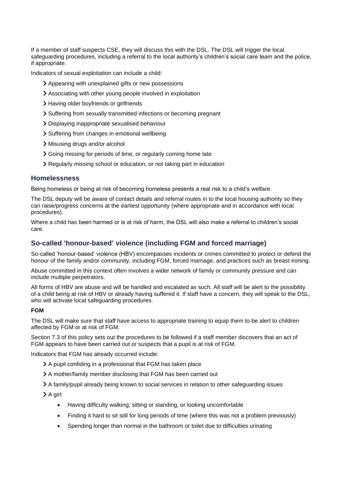If a member of staff suspects CSE, they will discuss this with the DSL. The DSL will trigger the local safeguarding procedures, including a referral to the local authority's children's social care team and the police, if appropriate.

Indicators of sexual exploitation can include a child:

- Appearing with unexplained gifts or new possessions
- Associating with other young people involved in exploitation
- > Having older boyfriends or girlfriends
- Suffering from sexually transmitted infections or becoming pregnant
- Displaying inappropriate sexualised behaviour
- > Suffering from changes in emotional wellbeing
- Misusing drugs and/or alcohol
- Going missing for periods of time, or regularly coming home late
- Regularly missing school or education, or not taking part in education

### **Homelessness**

Being homeless or being at risk of becoming homeless presents a real risk to a child's welfare.

The DSL deputy will be aware of contact details and referral routes in to the local housing authority so they can raise/progress concerns at the earliest opportunity (where appropriate and in accordance with local procedures).

Where a child has been harmed or is at risk of harm, the DSL will also make a referral to children's social care.

# **So-called 'honour-based' violence (including FGM and forced marriage)**

So-called 'honour-based' violence (HBV) encompasses incidents or crimes committed to protect or defend the honour of the family and/or community, including FGM, forced marriage, and practices such as breast ironing.

Abuse committed in this context often involves a wider network of family or community pressure and can include multiple perpetrators.

All forms of HBV are abuse and will be handled and escalated as such. All staff will be alert to the possibility of a child being at risk of HBV or already having suffered it. If staff have a concern, they will speak to the DSL, who will activate local safeguarding procedures.

#### **FGM**

The DSL will make sure that staff have access to appropriate training to equip them to be alert to children affected by FGM or at risk of FGM.

Section 7.3 of this policy sets out the procedures to be followed if a staff member discovers that an act of FGM appears to have been carried out or suspects that a pupil is at risk of FGM.

Indicators that FGM has already occurred include:

- A pupil confiding in a professional that FGM has taken place
- A mother/family member disclosing that FGM has been carried out
- A family/pupil already being known to social services in relation to other safeguarding issues

> A girl:

- Having difficulty walking, sitting or standing, or looking uncomfortable
- Finding it hard to sit still for long periods of time (where this was not a problem previously)
- Spending longer than normal in the bathroom or toilet due to difficulties urinating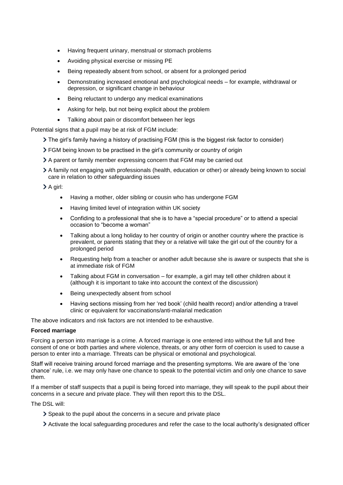- Having frequent urinary, menstrual or stomach problems
- Avoiding physical exercise or missing PE
- Being repeatedly absent from school, or absent for a prolonged period
- Demonstrating increased emotional and psychological needs for example, withdrawal or depression, or significant change in behaviour
- Being reluctant to undergo any medical examinations
- Asking for help, but not being explicit about the problem
- Talking about pain or discomfort between her legs

Potential signs that a pupil may be at risk of FGM include:

- The girl's family having a history of practising FGM (this is the biggest risk factor to consider)
- FGM being known to be practised in the girl's community or country of origin
- A parent or family member expressing concern that FGM may be carried out
- A family not engaging with professionals (health, education or other) or already being known to social care in relation to other safeguarding issues

A girl:

- Having a mother, older sibling or cousin who has undergone FGM
- Having limited level of integration within UK society
- Confiding to a professional that she is to have a "special procedure" or to attend a special occasion to "become a woman"
- Talking about a long holiday to her country of origin or another country where the practice is prevalent, or parents stating that they or a relative will take the girl out of the country for a prolonged period
- Requesting help from a teacher or another adult because she is aware or suspects that she is at immediate risk of FGM
- Talking about FGM in conversation for example, a girl may tell other children about it (although it is important to take into account the context of the discussion)
- Being unexpectedly absent from school
- Having sections missing from her 'red book' (child health record) and/or attending a travel clinic or equivalent for vaccinations/anti-malarial medication

The above indicators and risk factors are not intended to be exhaustive.

### **Forced marriage**

Forcing a person into marriage is a crime. A forced marriage is one entered into without the full and free consent of one or both parties and where violence, threats, or any other form of coercion is used to cause a person to enter into a marriage. Threats can be physical or emotional and psychological.

Staff will receive training around forced marriage and the presenting symptoms. We are aware of the 'one chance' rule, i.e. we may only have one chance to speak to the potential victim and only one chance to save them.

If a member of staff suspects that a pupil is being forced into marriage, they will speak to the pupil about their concerns in a secure and private place. They will then report this to the DSL.

The DSL will:

- Speak to the pupil about the concerns in a secure and private place
- Activate the local safeguarding procedures and refer the case to the local authority's designated officer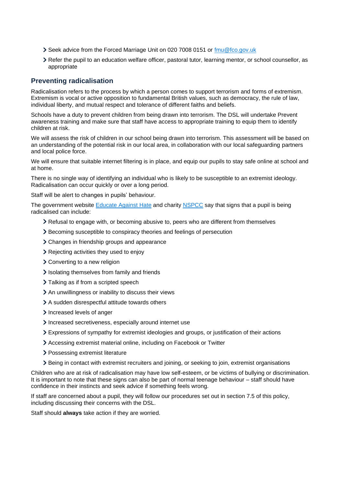- Seek advice from the Forced Marriage Unit on 020 7008 0151 or [fmu@fco.gov.uk](mailto:fmu@fco.gov.uk)
- Refer the pupil to an education welfare officer, pastoral tutor, learning mentor, or school counsellor, as appropriate

### **Preventing radicalisation**

Radicalisation refers to the process by which a person comes to support terrorism and forms of extremism. Extremism is vocal or active opposition to fundamental British values, such as democracy, the rule of law, individual liberty, and mutual respect and tolerance of different faiths and beliefs.

Schools have a duty to prevent children from being drawn into terrorism. The DSL will undertake Prevent awareness training and make sure that staff have access to appropriate training to equip them to identify children at risk.

We will assess the risk of children in our school being drawn into terrorism. This assessment will be based on an understanding of the potential risk in our local area, in collaboration with our local safeguarding partners and local police force.

We will ensure that suitable internet filtering is in place, and equip our pupils to stay safe online at school and at home.

There is no single way of identifying an individual who is likely to be susceptible to an extremist ideology. Radicalisation can occur quickly or over a long period.

Staff will be alert to changes in pupils' behaviour.

The government website [Educate Against](http://educateagainsthate.com/parents/what-are-the-warning-signs/) Hate and charity [NSPCC](https://www.nspcc.org.uk/what-you-can-do/report-abuse/dedicated-helplines/protecting-children-from-radicalisation/) say that signs that a pupil is being radicalised can include:

- Refusal to engage with, or becoming abusive to, peers who are different from themselves
- Becoming susceptible to conspiracy theories and feelings of persecution
- Changes in friendship groups and appearance
- Rejecting activities they used to enjoy
- Converting to a new religion
- Isolating themselves from family and friends
- > Talking as if from a scripted speech
- An unwillingness or inability to discuss their views
- A sudden disrespectful attitude towards others
- Increased levels of anger
- Increased secretiveness, especially around internet use
- Expressions of sympathy for extremist ideologies and groups, or justification of their actions
- Accessing extremist material online, including on Facebook or Twitter
- Possessing extremist literature
- Being in contact with extremist recruiters and joining, or seeking to join, extremist organisations

Children who are at risk of radicalisation may have low self-esteem, or be victims of bullying or discrimination. It is important to note that these signs can also be part of normal teenage behaviour – staff should have confidence in their instincts and seek advice if something feels wrong.

If staff are concerned about a pupil, they will follow our procedures set out in section 7.5 of this policy, including discussing their concerns with the DSL.

Staff should **always** take action if they are worried.